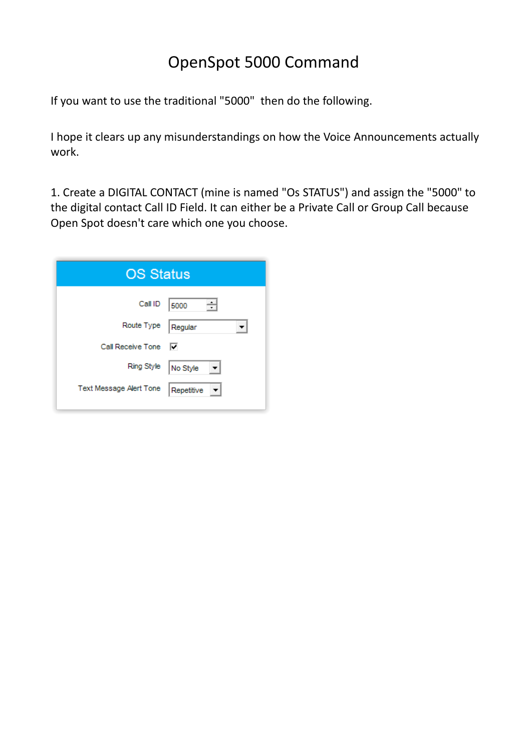## OpenSpot 5000 Command

If you want to use the traditional "5000" then do the following.

I hope it clears up any misunderstandings on how the Voice Announcements actually work.

1. Create a DIGITAL CONTACT (mine is named "Os STATUS") and assign the "5000" to the digital contact Call ID Field. It can either be a Private Call or Group Call because Open Spot doesn't care which one you choose.

| <b>OS Status</b>        |            |
|-------------------------|------------|
| Call ID                 | ÷l<br>5000 |
| Route Type              | Regular    |
| Call Receive Tone       | ⊽          |
| Ring Style              | No Style   |
| Text Message Alert Tone | Repetitive |
|                         |            |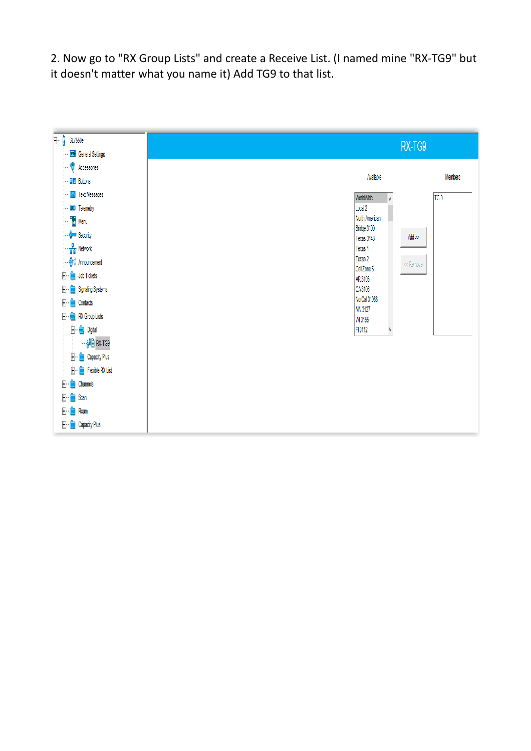2. Now go to "RX Group Lists" and create a Receive List. (I named mine "RX-TG9" but it doesn't matter what you name it) Add TG9 to that list.

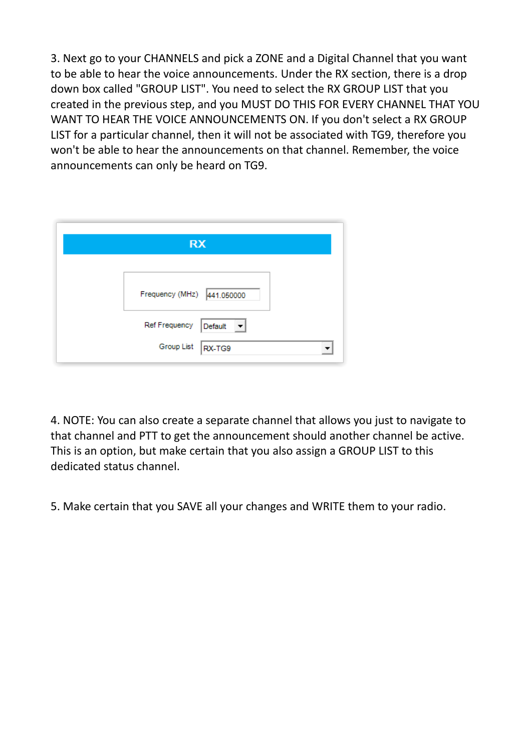3. Next go to your CHANNELS and pick a ZONE and a Digital Channel that you want to be able to hear the voice announcements. Under the RX section, there is a drop down box called "GROUP LIST". You need to select the RX GROUP LIST that you created in the previous step, and you MUST DO THIS FOR EVERY CHANNEL THAT YOU WANT TO HEAR THE VOICE ANNOUNCEMENTS ON. If you don't select a RX GROUP LIST for a particular channel, then it will not be associated with TG9, therefore you won't be able to hear the announcements on that channel. Remember, the voice announcements can only be heard on TG9.

| <b>RX</b>                  |                                |  |
|----------------------------|--------------------------------|--|
| Frequency (MHz) 441.050000 |                                |  |
| Ref Frequency              | Default<br>$\vert \cdot \vert$ |  |
| Group List                 | RX-TG9                         |  |

4. NOTE: You can also create a separate channel that allows you just to navigate to that channel and PTT to get the announcement should another channel be active. This is an option, but make certain that you also assign a GROUP LIST to this dedicated status channel.

5. Make certain that you SAVE all your changes and WRITE them to your radio.